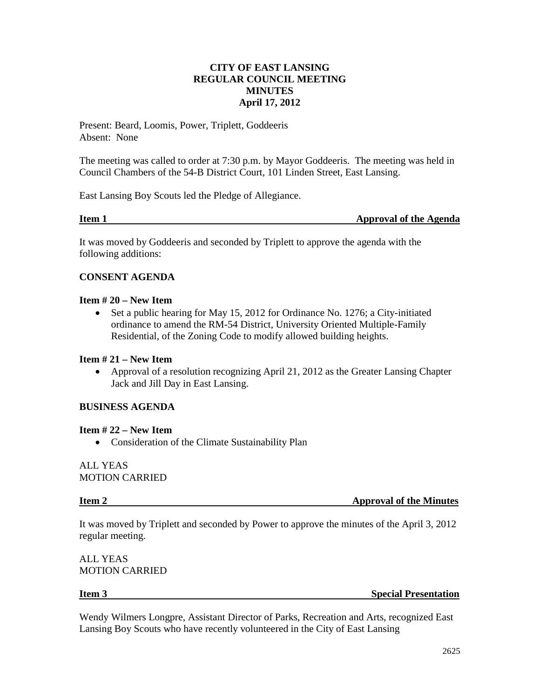## **CITY OF EAST LANSING REGULAR COUNCIL MEETING MINUTES April 17, 2012**

Present: Beard, Loomis, Power, Triplett, Goddeeris Absent: None

The meeting was called to order at 7:30 p.m. by Mayor Goddeeris. The meeting was held in Council Chambers of the 54-B District Court, 101 Linden Street, East Lansing.

East Lansing Boy Scouts led the Pledge of Allegiance.

**Item 1 Approval of the Agenda** 

It was moved by Goddeeris and seconded by Triplett to approve the agenda with the following additions:

## **CONSENT AGENDA**

## **Item # 20 – New Item**

• Set a public hearing for May 15, 2012 for Ordinance No. 1276; a City-initiated ordinance to amend the RM-54 District, University Oriented Multiple-Family Residential, of the Zoning Code to modify allowed building heights.

## **Item # 21 – New Item**

• Approval of a resolution recognizing April 21, 2012 as the Greater Lansing Chapter Jack and Jill Day in East Lansing.

## **BUSINESS AGENDA**

### **Item # 22 – New Item**

• Consideration of the Climate Sustainability Plan

ALL YEAS MOTION CARRIED

**Item 2 Approval of the Minutes** 

It was moved by Triplett and seconded by Power to approve the minutes of the April 3, 2012 regular meeting.

ALL YEAS MOTION CARRIED

**Item 3** Special Presentation

Wendy Wilmers Longpre, Assistant Director of Parks, Recreation and Arts, recognized East Lansing Boy Scouts who have recently volunteered in the City of East Lansing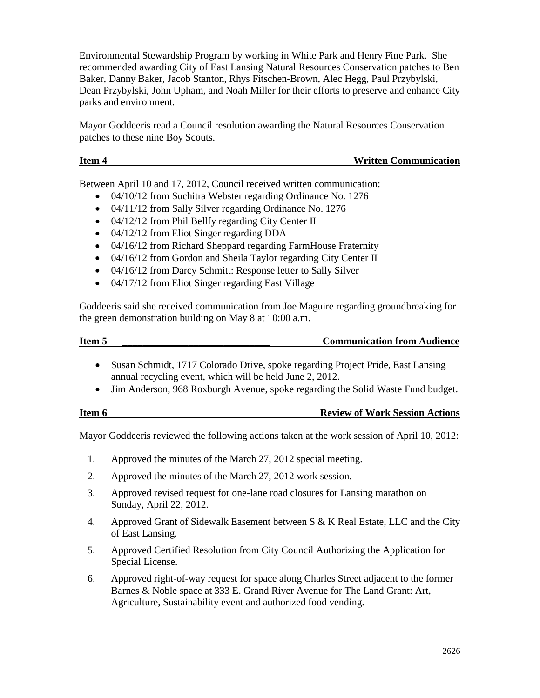Environmental Stewardship Program by working in White Park and Henry Fine Park. She recommended awarding City of East Lansing Natural Resources Conservation patches to Ben Baker, Danny Baker, Jacob Stanton, Rhys Fitschen-Brown, Alec Hegg, Paul Przybylski, Dean Przybylski, John Upham, and Noah Miller for their efforts to preserve and enhance City parks and environment.

Mayor Goddeeris read a Council resolution awarding the Natural Resources Conservation patches to these nine Boy Scouts.

Between April 10 and 17, 2012, Council received written communication:

- 04/10/12 from Suchitra Webster regarding Ordinance No. 1276
- 04/11/12 from Sally Silver regarding Ordinance No. 1276
- 04/12/12 from Phil Bellfy regarding City Center II
- 04/12/12 from Eliot Singer regarding DDA
- 04/16/12 from Richard Sheppard regarding FarmHouse Fraternity
- 04/16/12 from Gordon and Sheila Taylor regarding City Center II
- 04/16/12 from Darcy Schmitt: Response letter to Sally Silver
- 04/17/12 from Eliot Singer regarding East Village

Goddeeris said she received communication from Joe Maguire regarding groundbreaking for the green demonstration building on May 8 at 10:00 a.m.

| Item 5 | <b>Communication from Audience</b> |
|--------|------------------------------------|
|        |                                    |

- Susan Schmidt, 1717 Colorado Drive, spoke regarding Project Pride, East Lansing annual recycling event, which will be held June 2, 2012.
- Jim Anderson, 968 Roxburgh Avenue, spoke regarding the Solid Waste Fund budget.

| Item 6 | <b>Review of Work Session Actions</b> |
|--------|---------------------------------------|
|        |                                       |

Mayor Goddeeris reviewed the following actions taken at the work session of April 10, 2012:

- 1. Approved the minutes of the March 27, 2012 special meeting.
- 2. Approved the minutes of the March 27, 2012 work session.
- 3. Approved revised request for one-lane road closures for Lansing marathon on Sunday, April 22, 2012.
- 4. Approved Grant of Sidewalk Easement between S & K Real Estate, LLC and the City of East Lansing.
- 5. Approved Certified Resolution from City Council Authorizing the Application for Special License.
- 6. Approved right-of-way request for space along Charles Street adjacent to the former Barnes & Noble space at 333 E. Grand River Avenue for The Land Grant: Art, Agriculture, Sustainability event and authorized food vending.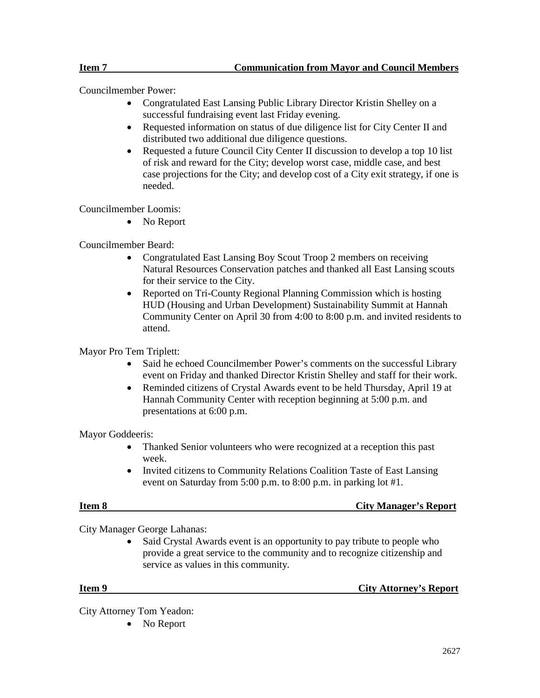Councilmember Power:

- Congratulated East Lansing Public Library Director Kristin Shelley on a successful fundraising event last Friday evening.
- Requested information on status of due diligence list for City Center II and distributed two additional due diligence questions.
- Requested a future Council City Center II discussion to develop a top 10 list of risk and reward for the City; develop worst case, middle case, and best case projections for the City; and develop cost of a City exit strategy, if one is needed.

Councilmember Loomis:

• No Report

Councilmember Beard:

- Congratulated East Lansing Boy Scout Troop 2 members on receiving Natural Resources Conservation patches and thanked all East Lansing scouts for their service to the City.
- Reported on Tri-County Regional Planning Commission which is hosting HUD (Housing and Urban Development) Sustainability Summit at Hannah Community Center on April 30 from 4:00 to 8:00 p.m. and invited residents to attend.

Mayor Pro Tem Triplett:

- Said he echoed Councilmember Power's comments on the successful Library event on Friday and thanked Director Kristin Shelley and staff for their work.
- Reminded citizens of Crystal Awards event to be held Thursday, April 19 at Hannah Community Center with reception beginning at 5:00 p.m. and presentations at 6:00 p.m.

Mayor Goddeeris:

- Thanked Senior volunteers who were recognized at a reception this past week.
- Invited citizens to Community Relations Coalition Taste of East Lansing event on Saturday from 5:00 p.m. to 8:00 p.m. in parking lot #1.

**Item 8** City Manager's Report

City Manager George Lahanas:

Said Crystal Awards event is an opportunity to pay tribute to people who provide a great service to the community and to recognize citizenship and service as values in this community.

**Item 9** City Attorney's Report

City Attorney Tom Yeadon:

• No Report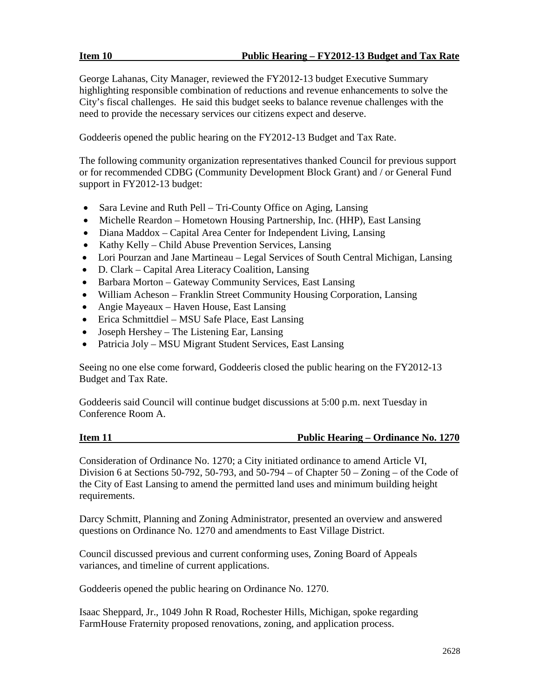George Lahanas, City Manager, reviewed the FY2012-13 budget Executive Summary highlighting responsible combination of reductions and revenue enhancements to solve the City's fiscal challenges. He said this budget seeks to balance revenue challenges with the need to provide the necessary services our citizens expect and deserve.

Goddeeris opened the public hearing on the FY2012-13 Budget and Tax Rate.

The following community organization representatives thanked Council for previous support or for recommended CDBG (Community Development Block Grant) and / or General Fund support in FY2012-13 budget:

- Sara Levine and Ruth Pell Tri-County Office on Aging, Lansing
- Michelle Reardon Hometown Housing Partnership, Inc. (HHP), East Lansing
- Diana Maddox Capital Area Center for Independent Living, Lansing
- Kathy Kelly Child Abuse Prevention Services, Lansing
- Lori Pourzan and Jane Martineau Legal Services of South Central Michigan, Lansing
- D. Clark Capital Area Literacy Coalition, Lansing
- Barbara Morton Gateway Community Services, East Lansing
- William Acheson Franklin Street Community Housing Corporation, Lansing
- Angie Mayeaux Haven House, East Lansing
- Erica Schmittdiel MSU Safe Place, East Lansing
- Joseph Hershey The Listening Ear, Lansing
- Patricia Joly MSU Migrant Student Services, East Lansing

Seeing no one else come forward, Goddeeris closed the public hearing on the FY2012-13 Budget and Tax Rate.

Goddeeris said Council will continue budget discussions at 5:00 p.m. next Tuesday in Conference Room A.

### **Item 11 Public Hearing – Ordinance No. 1270**

Consideration of Ordinance No. 1270; a City initiated ordinance to amend Article VI, Division 6 at Sections 50-792, 50-793, and  $50-794 - of Chapter 50 - Zoning - of the Code of$ the City of East Lansing to amend the permitted land uses and minimum building height requirements.

Darcy Schmitt, Planning and Zoning Administrator, presented an overview and answered questions on Ordinance No. 1270 and amendments to East Village District.

Council discussed previous and current conforming uses, Zoning Board of Appeals variances, and timeline of current applications.

Goddeeris opened the public hearing on Ordinance No. 1270.

Isaac Sheppard, Jr., 1049 John R Road, Rochester Hills, Michigan, spoke regarding FarmHouse Fraternity proposed renovations, zoning, and application process.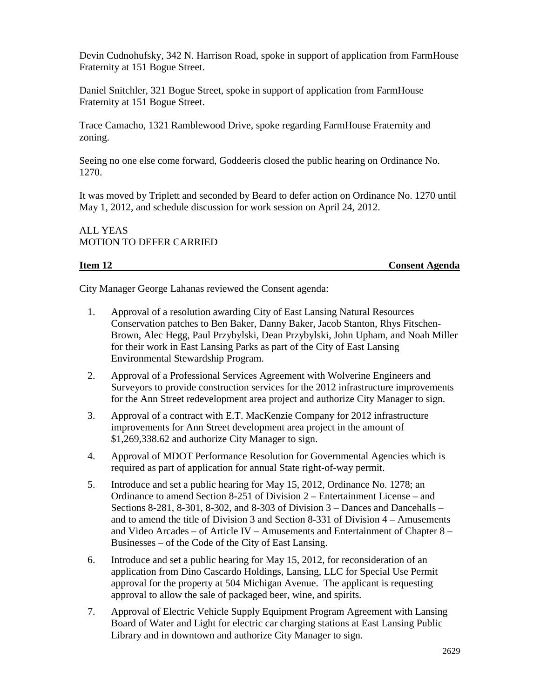Devin Cudnohufsky, 342 N. Harrison Road, spoke in support of application from FarmHouse Fraternity at 151 Bogue Street.

Daniel Snitchler, 321 Bogue Street, spoke in support of application from FarmHouse Fraternity at 151 Bogue Street.

Trace Camacho, 1321 Ramblewood Drive, spoke regarding FarmHouse Fraternity and zoning.

Seeing no one else come forward, Goddeeris closed the public hearing on Ordinance No. 1270.

It was moved by Triplett and seconded by Beard to defer action on Ordinance No. 1270 until May 1, 2012, and schedule discussion for work session on April 24, 2012.

ALL YEAS MOTION TO DEFER CARRIED

**Item 12 Consent Agenda**

City Manager George Lahanas reviewed the Consent agenda:

- 1. Approval of a resolution awarding City of East Lansing Natural Resources Conservation patches to Ben Baker, Danny Baker, Jacob Stanton, Rhys Fitschen-Brown, Alec Hegg, Paul Przybylski, Dean Przybylski, John Upham, and Noah Miller for their work in East Lansing Parks as part of the City of East Lansing Environmental Stewardship Program.
- 2. Approval of a Professional Services Agreement with Wolverine Engineers and Surveyors to provide construction services for the 2012 infrastructure improvements for the Ann Street redevelopment area project and authorize City Manager to sign.
- 3. Approval of a contract with E.T. MacKenzie Company for 2012 infrastructure improvements for Ann Street development area project in the amount of \$1,269,338.62 and authorize City Manager to sign.
- 4. Approval of MDOT Performance Resolution for Governmental Agencies which is required as part of application for annual State right-of-way permit.
- 5. Introduce and set a public hearing for May 15, 2012, Ordinance No. 1278; an Ordinance to amend Section 8-251 of Division 2 – Entertainment License – and Sections 8-281, 8-301, 8-302, and 8-303 of Division 3 – Dances and Dancehalls – and to amend the title of Division 3 and Section 8-331 of Division 4 – Amusements and Video Arcades – of Article IV – Amusements and Entertainment of Chapter 8 – Businesses – of the Code of the City of East Lansing.
- 6. Introduce and set a public hearing for May 15, 2012, for reconsideration of an application from Dino Cascardo Holdings, Lansing, LLC for Special Use Permit approval for the property at 504 Michigan Avenue. The applicant is requesting approval to allow the sale of packaged beer, wine, and spirits.
- 7. Approval of Electric Vehicle Supply Equipment Program Agreement with Lansing Board of Water and Light for electric car charging stations at East Lansing Public Library and in downtown and authorize City Manager to sign.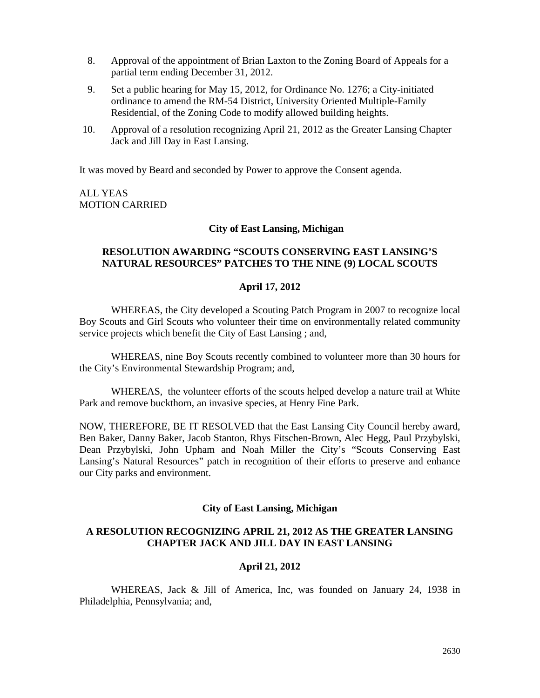- 8. Approval of the appointment of Brian Laxton to the Zoning Board of Appeals for a partial term ending December 31, 2012.
- 9. Set a public hearing for May 15, 2012, for Ordinance No. 1276; a City-initiated ordinance to amend the RM-54 District, University Oriented Multiple-Family Residential, of the Zoning Code to modify allowed building heights.
- 10. Approval of a resolution recognizing April 21, 2012 as the Greater Lansing Chapter Jack and Jill Day in East Lansing.

It was moved by Beard and seconded by Power to approve the Consent agenda.

ALL YEAS MOTION CARRIED

### **City of East Lansing, Michigan**

### **RESOLUTION AWARDING "SCOUTS CONSERVING EAST LANSING'S NATURAL RESOURCES" PATCHES TO THE NINE (9) LOCAL SCOUTS**

### **April 17, 2012**

WHEREAS, the City developed a Scouting Patch Program in 2007 to recognize local Boy Scouts and Girl Scouts who volunteer their time on environmentally related community service projects which benefit the City of East Lansing ; and,

WHEREAS, nine Boy Scouts recently combined to volunteer more than 30 hours for the City's Environmental Stewardship Program; and,

WHEREAS, the volunteer efforts of the scouts helped develop a nature trail at White Park and remove buckthorn, an invasive species, at Henry Fine Park.

NOW, THEREFORE, BE IT RESOLVED that the East Lansing City Council hereby award, Ben Baker, Danny Baker, Jacob Stanton, Rhys Fitschen-Brown, Alec Hegg, Paul Przybylski, Dean Przybylski, John Upham and Noah Miller the City's "Scouts Conserving East Lansing's Natural Resources" patch in recognition of their efforts to preserve and enhance our City parks and environment.

### **City of East Lansing, Michigan**

### **A RESOLUTION RECOGNIZING APRIL 21, 2012 AS THE GREATER LANSING CHAPTER JACK AND JILL DAY IN EAST LANSING**

### **April 21, 2012**

WHEREAS, Jack & Jill of America, Inc, was founded on January 24, 1938 in Philadelphia, Pennsylvania; and,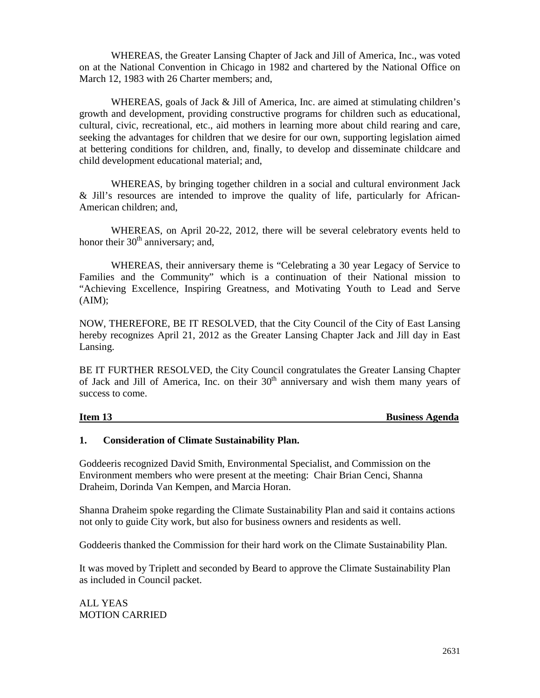WHEREAS, the Greater Lansing Chapter of Jack and Jill of America, Inc., was voted on at the National Convention in Chicago in 1982 and chartered by the National Office on March 12, 1983 with 26 Charter members; and,

WHEREAS, goals of Jack  $\&$  Jill of America, Inc. are aimed at stimulating children's growth and development, providing constructive programs for children such as educational, cultural, civic, recreational, etc., aid mothers in learning more about child rearing and care, seeking the advantages for children that we desire for our own, supporting legislation aimed at bettering conditions for children, and, finally, to develop and disseminate childcare and child development educational material; and,

WHEREAS, by bringing together children in a social and cultural environment Jack & Jill's resources are intended to improve the quality of life, particularly for African-American children; and,

WHEREAS, on April 20-22, 2012, there will be several celebratory events held to honor their  $30<sup>th</sup>$  anniversary; and,

WHEREAS, their anniversary theme is "Celebrating a 30 year Legacy of Service to Families and the Community" which is a continuation of their National mission to "Achieving Excellence, Inspiring Greatness, and Motivating Youth to Lead and Serve  $(AIM)$ ;

NOW, THEREFORE, BE IT RESOLVED, that the City Council of the City of East Lansing hereby recognizes April 21, 2012 as the Greater Lansing Chapter Jack and Jill day in East Lansing.

BE IT FURTHER RESOLVED, the City Council congratulates the Greater Lansing Chapter of Jack and Jill of America, Inc. on their  $30<sup>th</sup>$  anniversary and wish them many years of success to come.

**Item 13** Business Agenda

## **1. Consideration of Climate Sustainability Plan.**

Goddeeris recognized David Smith, Environmental Specialist, and Commission on the Environment members who were present at the meeting: Chair Brian Cenci, Shanna Draheim, Dorinda Van Kempen, and Marcia Horan.

Shanna Draheim spoke regarding the Climate Sustainability Plan and said it contains actions not only to guide City work, but also for business owners and residents as well.

Goddeeris thanked the Commission for their hard work on the Climate Sustainability Plan.

It was moved by Triplett and seconded by Beard to approve the Climate Sustainability Plan as included in Council packet.

ALL YEAS MOTION CARRIED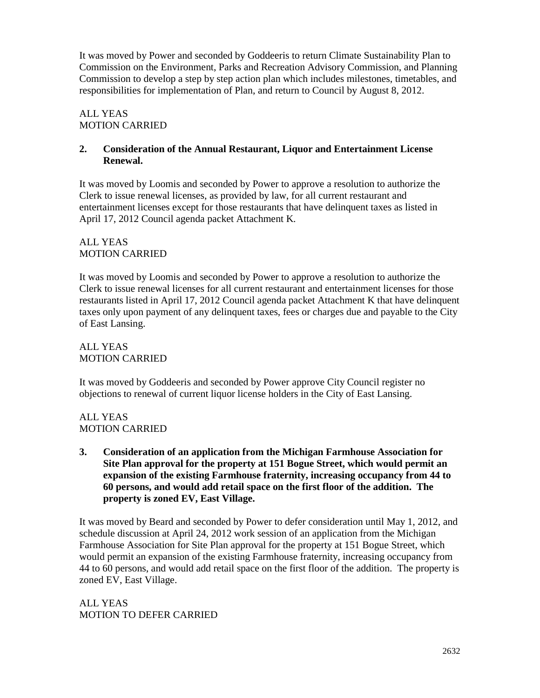It was moved by Power and seconded by Goddeeris to return Climate Sustainability Plan to Commission on the Environment, Parks and Recreation Advisory Commission, and Planning Commission to develop a step by step action plan which includes milestones, timetables, and responsibilities for implementation of Plan, and return to Council by August 8, 2012.

# ALL YEAS MOTION CARRIED

## **2. Consideration of the Annual Restaurant, Liquor and Entertainment License Renewal.**

It was moved by Loomis and seconded by Power to approve a resolution to authorize the Clerk to issue renewal licenses, as provided by law, for all current restaurant and entertainment licenses except for those restaurants that have delinquent taxes as listed in April 17, 2012 Council agenda packet Attachment K.

## ALL YEAS MOTION CARRIED

It was moved by Loomis and seconded by Power to approve a resolution to authorize the Clerk to issue renewal licenses for all current restaurant and entertainment licenses for those restaurants listed in April 17, 2012 Council agenda packet Attachment K that have delinquent taxes only upon payment of any delinquent taxes, fees or charges due and payable to the City of East Lansing.

ALL YEAS MOTION CARRIED

It was moved by Goddeeris and seconded by Power approve City Council register no objections to renewal of current liquor license holders in the City of East Lansing.

ALL YEAS MOTION CARRIED

**3. Consideration of an application from the Michigan Farmhouse Association for Site Plan approval for the property at 151 Bogue Street, which would permit an expansion of the existing Farmhouse fraternity, increasing occupancy from 44 to 60 persons, and would add retail space on the first floor of the addition. The property is zoned EV, East Village.**

It was moved by Beard and seconded by Power to defer consideration until May 1, 2012, and schedule discussion at April 24, 2012 work session of an application from the Michigan Farmhouse Association for Site Plan approval for the property at 151 Bogue Street, which would permit an expansion of the existing Farmhouse fraternity, increasing occupancy from 44 to 60 persons, and would add retail space on the first floor of the addition. The property is zoned EV, East Village.

ALL YEAS MOTION TO DEFER CARRIED